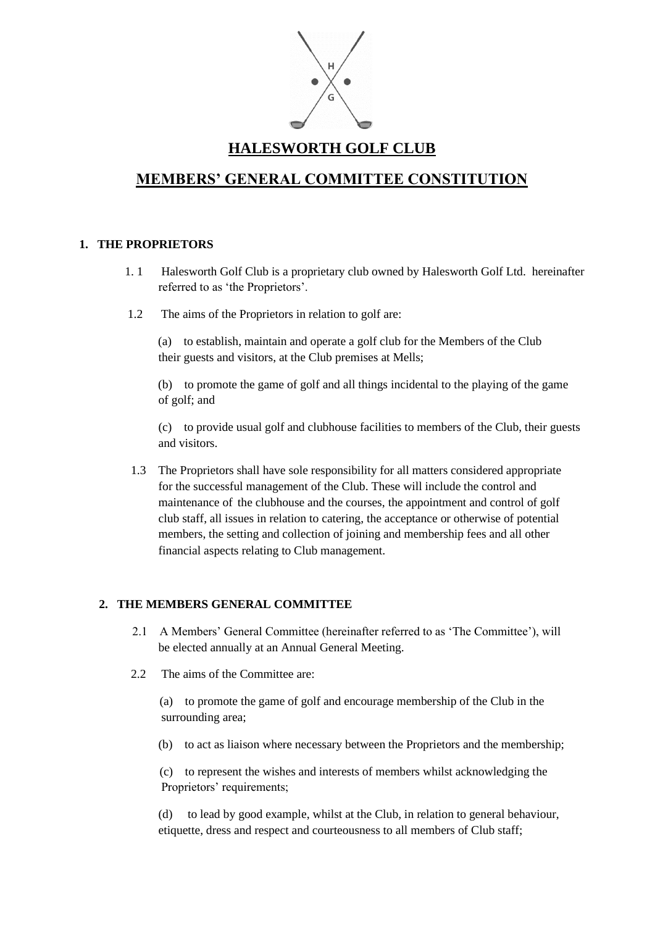

## **HALESWORTH GOLF CLUB**

# **MEMBERS' GENERAL COMMITTEE CONSTITUTION**

### **1. THE PROPRIETORS**

- 1. 1 Halesworth Golf Club is a proprietary club owned by Halesworth Golf Ltd. hereinafter referred to as 'the Proprietors'.
- 1.2 The aims of the Proprietors in relation to golf are:

 (a) to establish, maintain and operate a golf club for the Members of the Club their guests and visitors, at the Club premises at Mells;

 (b) to promote the game of golf and all things incidental to the playing of the game of golf; and

(c) to provide usual golf and clubhouse facilities to members of the Club, their guests and visitors.

 1.3 The Proprietors shall have sole responsibility for all matters considered appropriate for the successful management of the Club. These will include the control and maintenance of the clubhouse and the courses, the appointment and control of golf club staff, all issues in relation to catering, the acceptance or otherwise of potential members, the setting and collection of joining and membership fees and all other financial aspects relating to Club management.

### **2. THE MEMBERS GENERAL COMMITTEE**

- 2.1 A Members' General Committee (hereinafter referred to as 'The Committee'), will be elected annually at an Annual General Meeting.
- 2.2 The aims of the Committee are:

 (a) to promote the game of golf and encourage membership of the Club in the surrounding area;

(b) to act as liaison where necessary between the Proprietors and the membership;

 (c) to represent the wishes and interests of members whilst acknowledging the Proprietors' requirements;

(d) to lead by good example, whilst at the Club, in relation to general behaviour, etiquette, dress and respect and courteousness to all members of Club staff;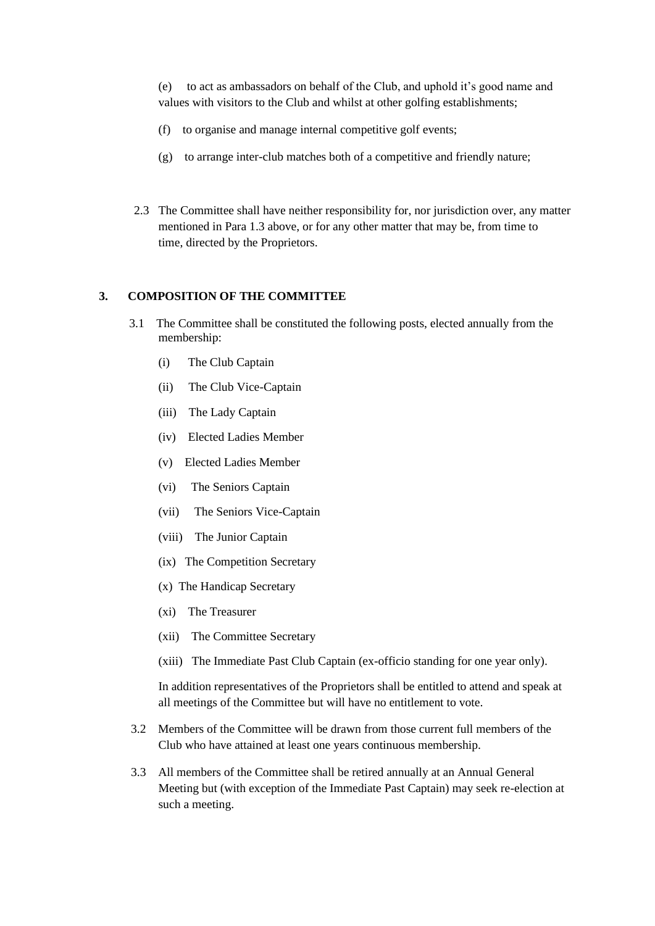(e) to act as ambassadors on behalf of the Club, and uphold it's good name and values with visitors to the Club and whilst at other golfing establishments;

- (f) to organise and manage internal competitive golf events;
- (g) to arrange inter-club matches both of a competitive and friendly nature;
- 2.3 The Committee shall have neither responsibility for, nor jurisdiction over, any matter mentioned in Para 1.3 above, or for any other matter that may be, from time to time, directed by the Proprietors.

#### **3. COMPOSITION OF THE COMMITTEE**

- 3.1 The Committee shall be constituted the following posts, elected annually from the membership:
	- (i) The Club Captain
	- (ii) The Club Vice-Captain
	- (iii) The Lady Captain
	- (iv) Elected Ladies Member
	- (v) Elected Ladies Member
	- (vi) The Seniors Captain
	- (vii) The Seniors Vice-Captain
	- (viii) The Junior Captain
	- (ix) The Competition Secretary
	- (x) The Handicap Secretary
	- (xi) The Treasurer
	- (xii) The Committee Secretary
	- (xiii) The Immediate Past Club Captain (ex-officio standing for one year only).

In addition representatives of the Proprietors shall be entitled to attend and speak at all meetings of the Committee but will have no entitlement to vote.

- 3.2 Members of the Committee will be drawn from those current full members of the Club who have attained at least one years continuous membership.
- 3.3 All members of the Committee shall be retired annually at an Annual General Meeting but (with exception of the Immediate Past Captain) may seek re-election at such a meeting.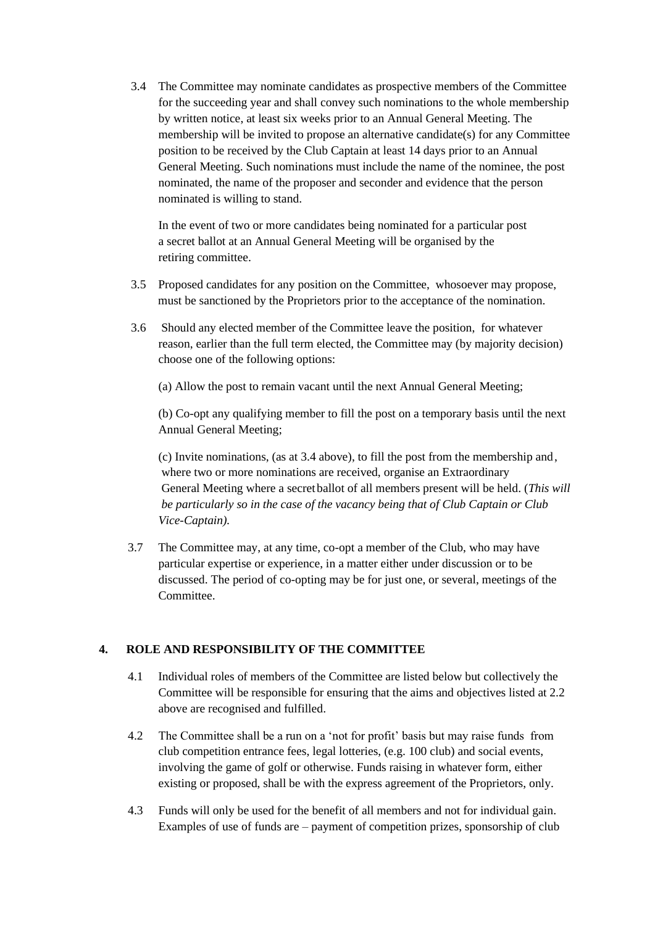3.4 The Committee may nominate candidates as prospective members of the Committee for the succeeding year and shall convey such nominations to the whole membership by written notice, at least six weeks prior to an Annual General Meeting. The membership will be invited to propose an alternative candidate(s) for any Committee position to be received by the Club Captain at least 14 days prior to an Annual General Meeting. Such nominations must include the name of the nominee, the post nominated, the name of the proposer and seconder and evidence that the person nominated is willing to stand.

In the event of two or more candidates being nominated for a particular post a secret ballot at an Annual General Meeting will be organised by the retiring committee.

- 3.5 Proposed candidates for any position on the Committee, whosoever may propose, must be sanctioned by the Proprietors prior to the acceptance of the nomination.
- 3.6 Should any elected member of the Committee leave the position, for whatever reason, earlier than the full term elected, the Committee may (by majority decision) choose one of the following options:

(a) Allow the post to remain vacant until the next Annual General Meeting;

(b) Co-opt any qualifying member to fill the post on a temporary basis until the next Annual General Meeting;

(c) Invite nominations, (as at 3.4 above), to fill the post from the membership and, where two or more nominations are received, organise an Extraordinary General Meeting where a secret ballot of all members present will be held. (*This will be particularly so in the case of the vacancy being that of Club Captain or Club Vice-Captain).*

 3.7 The Committee may, at any time, co-opt a member of the Club, who may have particular expertise or experience, in a matter either under discussion or to be discussed. The period of co-opting may be for just one, or several, meetings of the Committee.

### **4. ROLE AND RESPONSIBILITY OF THE COMMITTEE**

- 4.1 Individual roles of members of the Committee are listed below but collectively the Committee will be responsible for ensuring that the aims and objectives listed at 2.2 above are recognised and fulfilled.
- 4.2 The Committee shall be a run on a 'not for profit' basis but may raise funds from club competition entrance fees, legal lotteries, (e.g. 100 club) and social events, involving the game of golf or otherwise. Funds raising in whatever form, either existing or proposed, shall be with the express agreement of the Proprietors, only.
- 4.3 Funds will only be used for the benefit of all members and not for individual gain. Examples of use of funds are – payment of competition prizes, sponsorship of club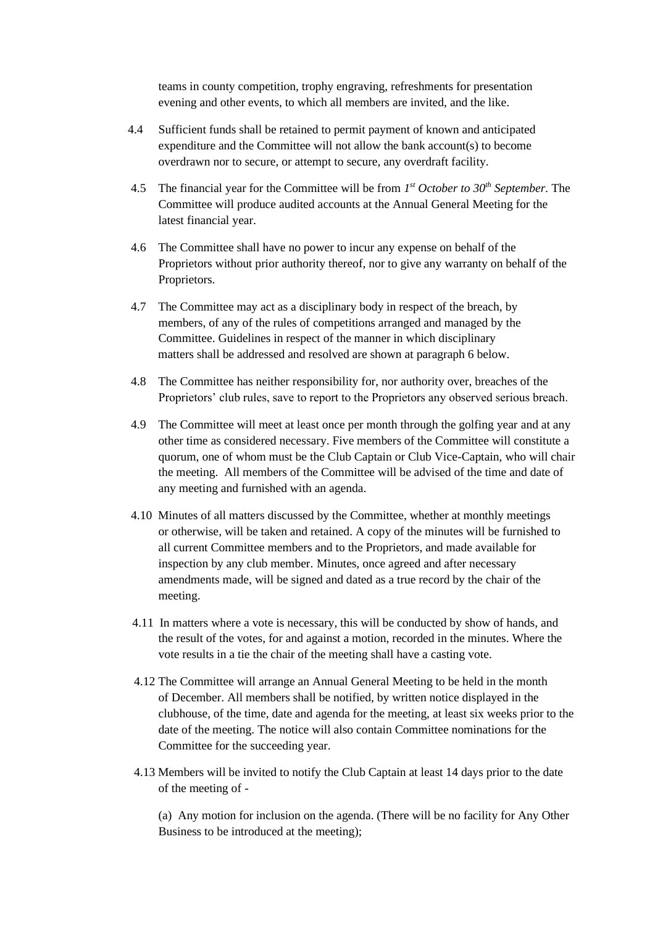teams in county competition, trophy engraving, refreshments for presentation evening and other events, to which all members are invited, and the like.

- 4.4 Sufficient funds shall be retained to permit payment of known and anticipated expenditure and the Committee will not allow the bank account(s) to become overdrawn nor to secure, or attempt to secure, any overdraft facility.
- 4.5 The financial year for the Committee will be from  $I<sup>st</sup> October to 30<sup>th</sup> September$ . The Committee will produce audited accounts at the Annual General Meeting for the latest financial year.
	- 4.6 The Committee shall have no power to incur any expense on behalf of the Proprietors without prior authority thereof, nor to give any warranty on behalf of the Proprietors.
	- 4.7 The Committee may act as a disciplinary body in respect of the breach, by members, of any of the rules of competitions arranged and managed by the Committee. Guidelines in respect of the manner in which disciplinary matters shall be addressed and resolved are shown at paragraph 6 below.
	- 4.8 The Committee has neither responsibility for, nor authority over, breaches of the Proprietors' club rules, save to report to the Proprietors any observed serious breach.
	- 4.9 The Committee will meet at least once per month through the golfing year and at any other time as considered necessary. Five members of the Committee will constitute a quorum, one of whom must be the Club Captain or Club Vice-Captain, who will chair the meeting. All members of the Committee will be advised of the time and date of any meeting and furnished with an agenda.
	- 4.10 Minutes of all matters discussed by the Committee, whether at monthly meetings or otherwise, will be taken and retained. A copy of the minutes will be furnished to all current Committee members and to the Proprietors, and made available for inspection by any club member. Minutes, once agreed and after necessary amendments made, will be signed and dated as a true record by the chair of the meeting.
	- 4.11 In matters where a vote is necessary, this will be conducted by show of hands, and the result of the votes, for and against a motion, recorded in the minutes. Where the vote results in a tie the chair of the meeting shall have a casting vote.
	- 4.12 The Committee will arrange an Annual General Meeting to be held in the month of December. All members shall be notified, by written notice displayed in the clubhouse, of the time, date and agenda for the meeting, at least six weeks prior to the date of the meeting. The notice will also contain Committee nominations for the Committee for the succeeding year.
	- 4.13 Members will be invited to notify the Club Captain at least 14 days prior to the date of the meeting of -

(a) Any motion for inclusion on the agenda. (There will be no facility for Any Other Business to be introduced at the meeting);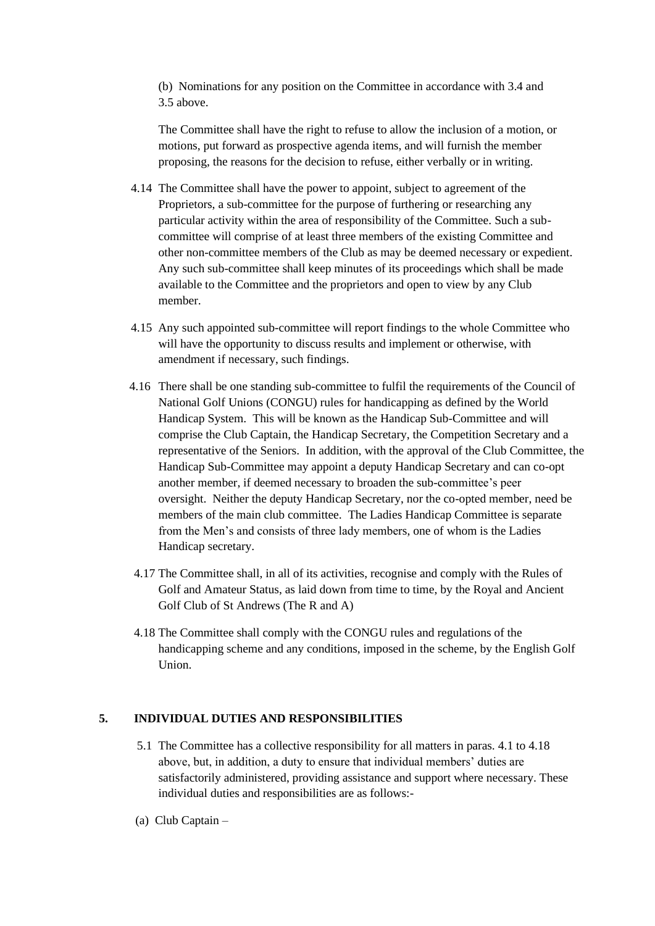(b) Nominations for any position on the Committee in accordance with 3.4 and 3.5 above.

The Committee shall have the right to refuse to allow the inclusion of a motion, or motions, put forward as prospective agenda items, and will furnish the member proposing, the reasons for the decision to refuse, either verbally or in writing.

- 4.14 The Committee shall have the power to appoint, subject to agreement of the Proprietors, a sub-committee for the purpose of furthering or researching any particular activity within the area of responsibility of the Committee. Such a subcommittee will comprise of at least three members of the existing Committee and other non-committee members of the Club as may be deemed necessary or expedient. Any such sub-committee shall keep minutes of its proceedings which shall be made available to the Committee and the proprietors and open to view by any Club member.
- 4.15 Any such appointed sub-committee will report findings to the whole Committee who will have the opportunity to discuss results and implement or otherwise, with amendment if necessary, such findings.
- 4.16 There shall be one standing sub-committee to fulfil the requirements of the Council of National Golf Unions (CONGU) rules for handicapping as defined by the World Handicap System. This will be known as the Handicap Sub-Committee and will comprise the Club Captain, the Handicap Secretary, the Competition Secretary and a representative of the Seniors. In addition, with the approval of the Club Committee, the Handicap Sub-Committee may appoint a deputy Handicap Secretary and can co-opt another member, if deemed necessary to broaden the sub-committee's peer oversight. Neither the deputy Handicap Secretary, nor the co-opted member, need be members of the main club committee. The Ladies Handicap Committee is separate from the Men's and consists of three lady members, one of whom is the Ladies Handicap secretary.
- 4.17 The Committee shall, in all of its activities, recognise and comply with the Rules of Golf and Amateur Status, as laid down from time to time, by the Royal and Ancient Golf Club of St Andrews (The R and A)
- 4.18 The Committee shall comply with the CONGU rules and regulations of the handicapping scheme and any conditions, imposed in the scheme, by the English Golf Union.

### **5. INDIVIDUAL DUTIES AND RESPONSIBILITIES**

- 5.1 The Committee has a collective responsibility for all matters in paras. 4.1 to 4.18 above, but, in addition, a duty to ensure that individual members' duties are satisfactorily administered, providing assistance and support where necessary. These individual duties and responsibilities are as follows:-
- (a) Club Captain –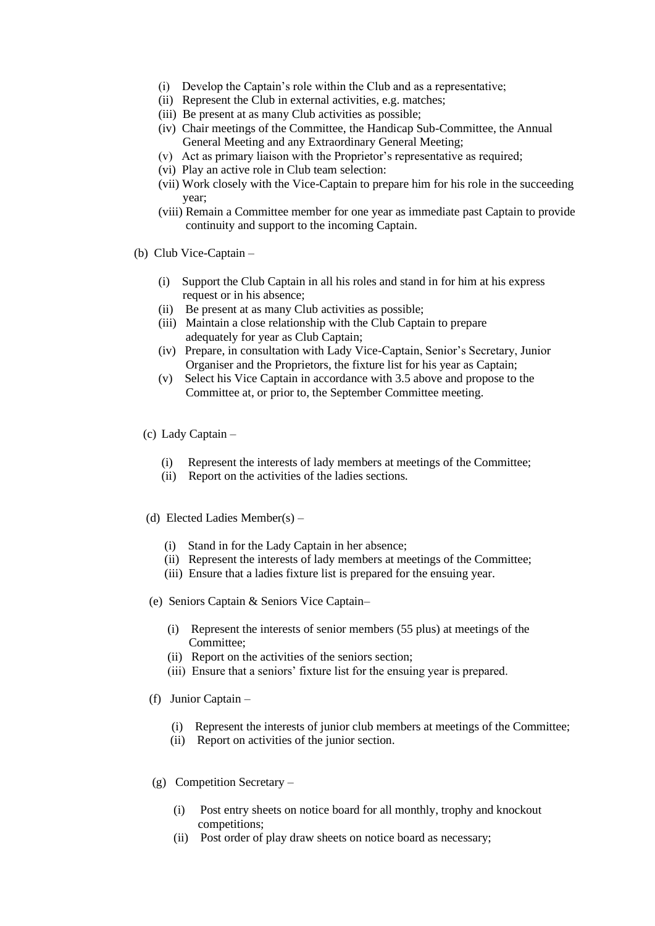- (i) Develop the Captain's role within the Club and as a representative;
- (ii) Represent the Club in external activities, e.g. matches;
- (iii) Be present at as many Club activities as possible;
- (iv) Chair meetings of the Committee, the Handicap Sub-Committee, the Annual General Meeting and any Extraordinary General Meeting;
- (v) Act as primary liaison with the Proprietor's representative as required;
- (vi) Play an active role in Club team selection:
- (vii) Work closely with the Vice-Captain to prepare him for his role in the succeeding year;
- (viii) Remain a Committee member for one year as immediate past Captain to provide continuity and support to the incoming Captain.
- (b) Club Vice-Captain
	- (i) Support the Club Captain in all his roles and stand in for him at his express request or in his absence;
	- (ii) Be present at as many Club activities as possible;
	- (iii) Maintain a close relationship with the Club Captain to prepare adequately for year as Club Captain;
	- (iv) Prepare, in consultation with Lady Vice-Captain, Senior's Secretary, Junior Organiser and the Proprietors, the fixture list for his year as Captain;
	- (v) Select his Vice Captain in accordance with 3.5 above and propose to the Committee at, or prior to, the September Committee meeting.
	- (c) Lady Captain
		- (i) Represent the interests of lady members at meetings of the Committee;
		- (ii) Report on the activities of the ladies sections.
	- (d) Elected Ladies Member(s)
		- (i) Stand in for the Lady Captain in her absence;
		- (ii) Represent the interests of lady members at meetings of the Committee;
		- (iii) Ensure that a ladies fixture list is prepared for the ensuing year.
	- (e) Seniors Captain & Seniors Vice Captain–
		- (i) Represent the interests of senior members (55 plus) at meetings of the Committee;
		- (ii) Report on the activities of the seniors section;
		- (iii) Ensure that a seniors' fixture list for the ensuing year is prepared.
	- (f) Junior Captain
		- (i) Represent the interests of junior club members at meetings of the Committee;
		- (ii) Report on activities of the junior section.
	- (g) Competition Secretary
		- (i) Post entry sheets on notice board for all monthly, trophy and knockout competitions;
		- (ii) Post order of play draw sheets on notice board as necessary;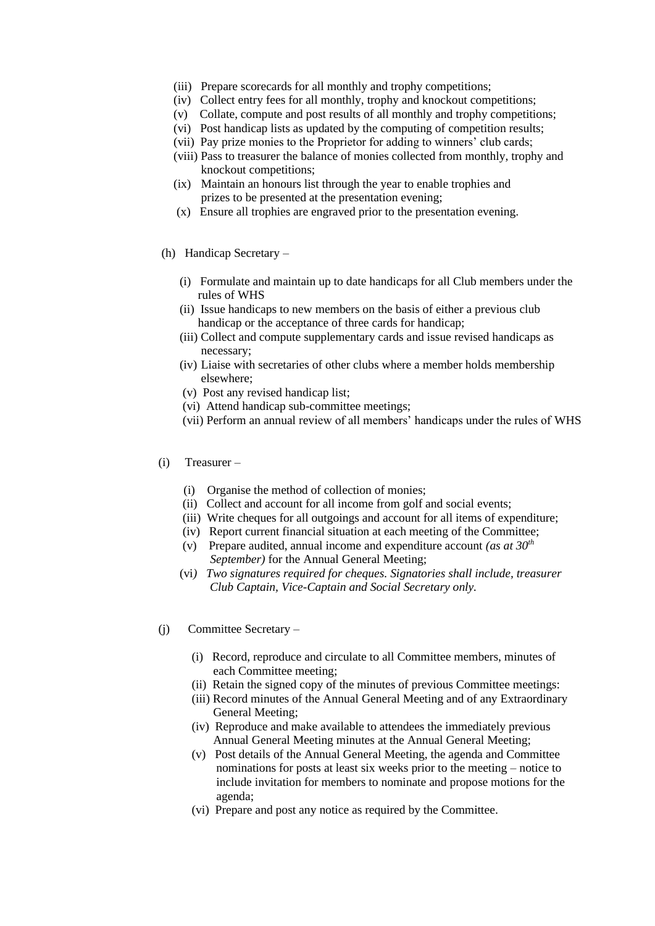- (iii) Prepare scorecards for all monthly and trophy competitions;
- (iv) Collect entry fees for all monthly, trophy and knockout competitions;
- (v) Collate, compute and post results of all monthly and trophy competitions;
- (vi) Post handicap lists as updated by the computing of competition results;
- (vii) Pay prize monies to the Proprietor for adding to winners' club cards;
- (viii) Pass to treasurer the balance of monies collected from monthly, trophy and knockout competitions;
- (ix) Maintain an honours list through the year to enable trophies and prizes to be presented at the presentation evening;
- (x) Ensure all trophies are engraved prior to the presentation evening.
- (h) Handicap Secretary
	- (i) Formulate and maintain up to date handicaps for all Club members under the rules of WHS
	- (ii) Issue handicaps to new members on the basis of either a previous club handicap or the acceptance of three cards for handicap;
	- (iii) Collect and compute supplementary cards and issue revised handicaps as necessary;
	- (iv) Liaise with secretaries of other clubs where a member holds membership elsewhere;
	- (v) Post any revised handicap list;
	- (vi) Attend handicap sub-committee meetings;
	- (vii) Perform an annual review of all members' handicaps under the rules of WHS
- (i) Treasurer
	- (i) Organise the method of collection of monies;
	- (ii) Collect and account for all income from golf and social events;
	- (iii) Write cheques for all outgoings and account for all items of expenditure;
	- (iv) Report current financial situation at each meeting of the Committee;
	- (v) Prepare audited, annual income and expenditure account *(as at 30th September)* for the Annual General Meeting;
	- (vi*) Two signatures required for cheques. Signatories shall include, treasurer Club Captain, Vice-Captain and Social Secretary only.*
- (j) Committee Secretary
	- (i) Record, reproduce and circulate to all Committee members, minutes of each Committee meeting;
	- (ii) Retain the signed copy of the minutes of previous Committee meetings:
	- (iii) Record minutes of the Annual General Meeting and of any Extraordinary General Meeting;
	- (iv) Reproduce and make available to attendees the immediately previous Annual General Meeting minutes at the Annual General Meeting;
	- (v) Post details of the Annual General Meeting, the agenda and Committee nominations for posts at least six weeks prior to the meeting – notice to include invitation for members to nominate and propose motions for the agenda;
	- (vi) Prepare and post any notice as required by the Committee.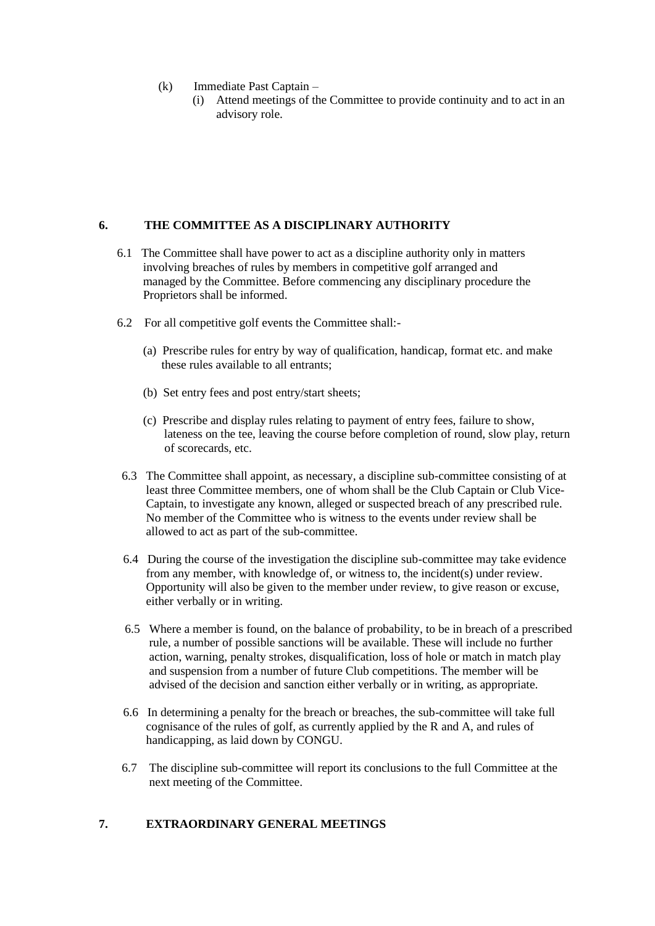- (k) Immediate Past Captain
	- (i) Attend meetings of the Committee to provide continuity and to act in an advisory role.

### **6. THE COMMITTEE AS A DISCIPLINARY AUTHORITY**

- 6.1 The Committee shall have power to act as a discipline authority only in matters involving breaches of rules by members in competitive golf arranged and managed by the Committee. Before commencing any disciplinary procedure the Proprietors shall be informed.
- 6.2 For all competitive golf events the Committee shall:-
	- (a) Prescribe rules for entry by way of qualification, handicap, format etc. and make these rules available to all entrants;
	- (b) Set entry fees and post entry/start sheets;
	- (c) Prescribe and display rules relating to payment of entry fees, failure to show, lateness on the tee, leaving the course before completion of round, slow play, return of scorecards, etc.
- 6.3 The Committee shall appoint, as necessary, a discipline sub-committee consisting of at least three Committee members, one of whom shall be the Club Captain or Club Vice- Captain, to investigate any known, alleged or suspected breach of any prescribed rule. No member of the Committee who is witness to the events under review shall be allowed to act as part of the sub-committee.
- 6.4 During the course of the investigation the discipline sub-committee may take evidence from any member, with knowledge of, or witness to, the incident(s) under review. Opportunity will also be given to the member under review, to give reason or excuse, either verbally or in writing.
- 6.5 Where a member is found, on the balance of probability, to be in breach of a prescribed rule, a number of possible sanctions will be available. These will include no further action, warning, penalty strokes, disqualification, loss of hole or match in match play and suspension from a number of future Club competitions. The member will be advised of the decision and sanction either verbally or in writing, as appropriate.
- 6.6 In determining a penalty for the breach or breaches, the sub-committee will take full cognisance of the rules of golf, as currently applied by the R and A, and rules of handicapping, as laid down by CONGU.
- 6.7 The discipline sub-committee will report its conclusions to the full Committee at the next meeting of the Committee.

### **7. EXTRAORDINARY GENERAL MEETINGS**